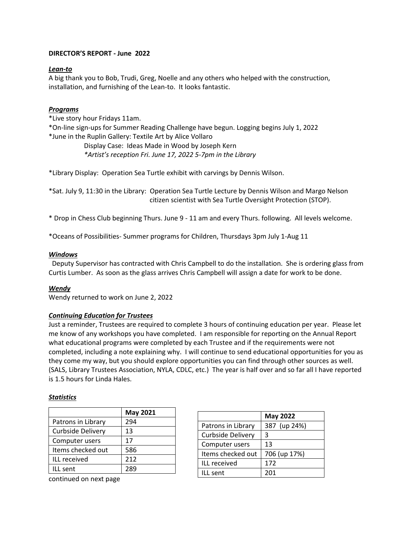## **DIRECTOR'S REPORT - June 2022**

## *Lean-to*

A big thank you to Bob, Trudi, Greg, Noelle and any others who helped with the construction, installation, and furnishing of the Lean-to. It looks fantastic.

# *Programs*

\*Live story hour Fridays 11am.

\*On-line sign-ups for Summer Reading Challenge have begun. Logging begins July 1, 2022 \*June in the Ruplin Gallery: Textile Art by Alice Vollaro

> Display Case: Ideas Made in Wood by Joseph Kern  *\*Artist's reception Fri. June 17, 2022 5-7pm in the Library*

\*Library Display: Operation Sea Turtle exhibit with carvings by Dennis Wilson.

\*Sat. July 9, 11:30 in the Library: Operation Sea Turtle Lecture by Dennis Wilson and Margo Nelson citizen scientist with Sea Turtle Oversight Protection (STOP).

\* Drop in Chess Club beginning Thurs. June 9 - 11 am and every Thurs. following. All levels welcome.

\*Oceans of Possibilities- Summer programs for Children, Thursdays 3pm July 1-Aug 11

#### *Windows*

 Deputy Supervisor has contracted with Chris Campbell to do the installation. She is ordering glass from Curtis Lumber. As soon as the glass arrives Chris Campbell will assign a date for work to be done.

#### *Wendy*

Wendy returned to work on June 2, 2022

# *Continuing Education for Trustees*

Just a reminder, Trustees are required to complete 3 hours of continuing education per year. Please let me know of any workshops you have completed. I am responsible for reporting on the Annual Report what educational programs were completed by each Trustee and if the requirements were not completed, including a note explaining why. I will continue to send educational opportunities for you as they come my way, but you should explore opportunities you can find through other sources as well. (SALS, Library Trustees Association, NYLA, CDLC, etc.) The year is half over and so far all I have reported is 1.5 hours for Linda Hales.

#### *Statistics*

|                          | <b>May 2021</b> |
|--------------------------|-----------------|
| Patrons in Library       | 294             |
| <b>Curbside Delivery</b> | 13              |
| Computer users           | 17              |
| Items checked out        | 586             |
| ILL received             | 212             |
| ILL sent                 | 289             |

|                          | <b>May 2022</b> |  |
|--------------------------|-----------------|--|
| Patrons in Library       | 387 (up 24%)    |  |
| <b>Curbside Delivery</b> | 3               |  |
| Computer users           | 13              |  |
| Items checked out        | 706 (up 17%)    |  |
| ILL received             | 172             |  |
| ILL sent                 | 201             |  |

continued on next page